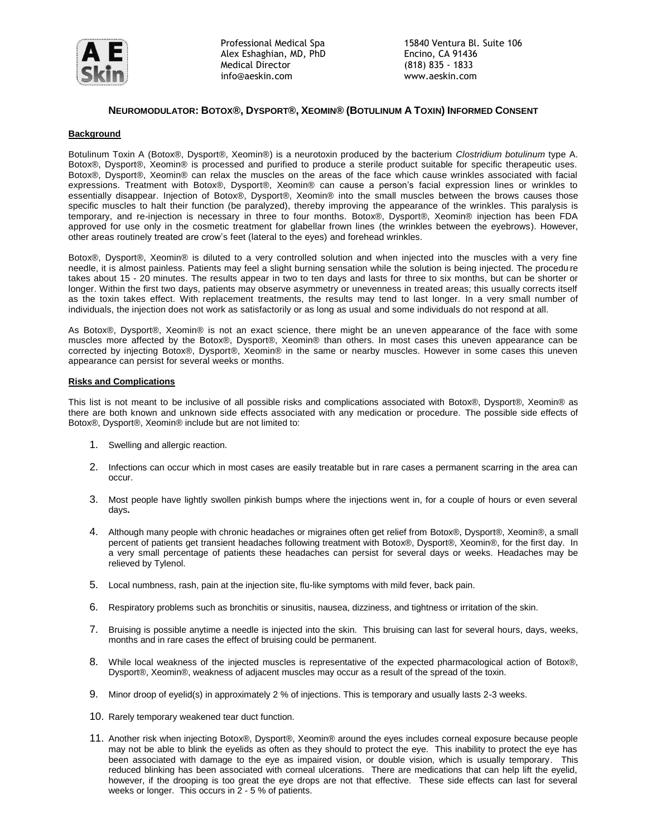

Alex Eshaghian, MD, PhD Encino, CA 91436 Medical Director (818) 835 - 1833 info@aeskin.com www.aeskin.com

Professional Medical Spa 15840 Ventura Bl. Suite 106

# NEUROMODULATOR: BOTOX®, DYSPORT®, XEOMIN® (BOTULINUM A TOXIN) INFORMED CONSENT

# **Background**

Botulinum Toxin A (Botox®, Dysport®, Xeomin®) is a neurotoxin produced by the bacterium *Clostridium botulinum* type A. Botox®, Dysport®, Xeomin® is processed and purified to produce a sterile product suitable for specific therapeutic uses. Botox®, Dysport®, Xeomin® can relax the muscles on the areas of the face which cause wrinkles associated with facial expressions. Treatment with Botox®, Dysport®, Xeomin® can cause a person's facial expression lines or wrinkles to essentially disappear. Injection of Botox®, Dysport®, Xeomin® into the small muscles between the brows causes those specific muscles to halt their function (be paralyzed), thereby improving the appearance of the wrinkles. This paralysis is temporary, and re-injection is necessary in three to four months. Botox®, Dysport®, Xeomin® injection has been FDA approved for use only in the cosmetic treatment for glabellar frown lines (the wrinkles between the eyebrows). However, other areas routinely treated are crow's feet (lateral to the eyes) and forehead wrinkles.

Botox®, Dysport®, Xeomin® is diluted to a very controlled solution and when injected into the muscles with a very fine needle, it is almost painless. Patients may feel a slight burning sensation while the solution is being injected. The procedu re takes about 15 - 20 minutes. The results appear in two to ten days and lasts for three to six months, but can be shorter or longer. Within the first two days, patients may observe asymmetry or unevenness in treated areas; this usually corrects itself as the toxin takes effect. With replacement treatments, the results may tend to last longer. In a very small number of individuals, the injection does not work as satisfactorily or as long as usual and some individuals do not respond at all.

As Botox®, Dysport®, Xeomin® is not an exact science, there might be an uneven appearance of the face with some muscles more affected by the Botox®, Dysport®, Xeomin® than others. In most cases this uneven appearance can be corrected by injecting Botox®, Dysport®, Xeomin® in the same or nearby muscles. However in some cases this uneven appearance can persist for several weeks or months.

### **Risks and Complications**

This list is not meant to be inclusive of all possible risks and complications associated with Botox®, Dysport®, Xeomin® as there are both known and unknown side effects associated with any medication or procedure. The possible side effects of Botox®, Dysport®, Xeomin® include but are not limited to:

- 1. Swelling and allergic reaction.
- 2. Infections can occur which in most cases are easily treatable but in rare cases a permanent scarring in the area can occur.
- 3. Most people have lightly swollen pinkish bumps where the injections went in, for a couple of hours or even several days**.**
- 4. Although many people with chronic headaches or migraines often get relief from Botox®, Dysport®, Xeomin®, a small percent of patients get transient headaches following treatment with Botox®, Dysport®, Xeomin®, for the first day. In a very small percentage of patients these headaches can persist for several days or weeks. Headaches may be relieved by Tylenol.
- 5. Local numbness, rash, pain at the injection site, flu-like symptoms with mild fever, back pain.
- 6. Respiratory problems such as bronchitis or sinusitis, nausea, dizziness, and tightness or irritation of the skin.
- 7. Bruising is possible anytime a needle is injected into the skin. This bruising can last for several hours, days, weeks, months and in rare cases the effect of bruising could be permanent.
- 8. While local weakness of the injected muscles is representative of the expected pharmacological action of Botox®, Dysport®, Xeomin®, weakness of adjacent muscles may occur as a result of the spread of the toxin.
- 9. Minor droop of eyelid(s) in approximately 2 % of injections. This is temporary and usually lasts 2-3 weeks.
- 10. Rarely temporary weakened tear duct function.
- 11. Another risk when injecting Botox®, Dysport®, Xeomin® around the eyes includes corneal exposure because people may not be able to blink the eyelids as often as they should to protect the eye. This inability to protect the eye has been associated with damage to the eye as impaired vision, or double vision, which is usually temporary. This reduced blinking has been associated with corneal ulcerations. There are medications that can help lift the eyelid, however, if the drooping is too great the eye drops are not that effective. These side effects can last for several weeks or longer. This occurs in 2 - 5 % of patients.